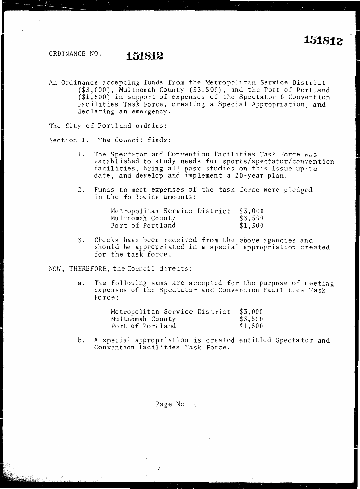### ORDINANCE NO. **151812**

An Ordinance accepting funds from the Metropolitan Service District (\$3,000), Multnomah County (\$3,500), and the Port of Portland (\$1,500) in support of expenses of the Spectator & Convention Facilities Task Force, creating a Special Appropriation, and declaring an emergency.

The City of Portland ordains:

Section 1. The Council finds:

- 1. The Spectator and Convention Facilities Task force was established to study needs for sports/spectator/convention facilities, bring all past studies on this issue up-todate, and develop and implement a 20-year plan.
- 2. Funds to meet expenses of the task force were pledged in the following amounts:

| Metropolitan Service District | \$3,000 |
|-------------------------------|---------|
| Multnomah County              | \$3,500 |
| Port of Portland              | \$1,500 |

3. Checks have been received from the above agencies and should be appropriated in a special appropriation created for the task force.

NOW, THEREFORE, the Council directs:

a. The following sums are accepted for the purpose of meeting expenses of the Spectator and Convention Facilities Task Force:

| Metropolitan Service District | \$3,000 |
|-------------------------------|---------|
| Multnomah County              | \$3,500 |
| Port of Portland              | \$1,500 |

b. A special appropriation is created entitled Spectator and Convention Facilities Task Force.

Page No. 1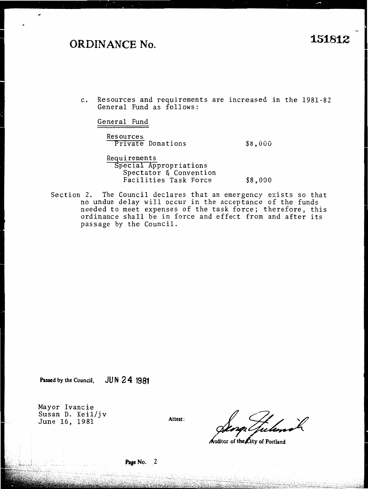# **ORDINANCE No. "151812**

c. Resources and requirements are increased in the 1981-82 General Fund as follows:

Gener al Fund

Resources Private Donations

\$8,000

Requirements Special Appropriations Spectator & Convention Facilities Task Force \$8,000

Section 2. The Council declares that an emergency exists so that no undue delay will occur in the acceptance of the funds needed to meet expenses of the task force; therefore, this ordinance shall be in force and effect from and after its passage by the Council.

**Passed by the Council, JUN 2 4 1981** 

Mayor Ivancie Susan D. Keil/jv June 16, 1981

Attest:

Auditor of the City of Portland

#### Page No. 2